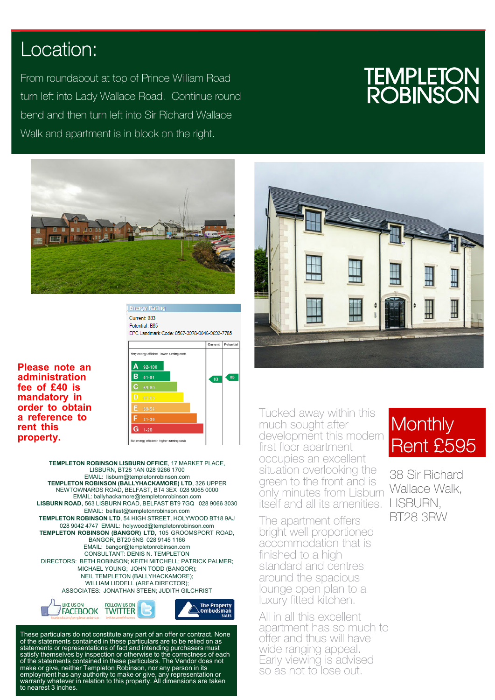## Location:

From roundabout at top of Prince William Road turn left into Lady Wallace Road. Continue round bend and then turn left into Sir Richard Wallace Walk and apartment is in block on the right.

## **TEMPLET<br>ROBINS**



**Energy Rating** Current: B83 Potential: B85 EPC Landmark Code: 0567-3978-0046-9692-7785

**Please note an administration fee of £40 is mandatory in order to obtain a reference to rent this property.**



**TEMPLETON ROBINSON LISBURN OFFICE**, 17 MARKET PLACE, LISBURN, BT28 1AN 028 9266 1700 EMAIL: lisburn@templetonrobinson.com **TEMPLETON ROBINSON (BALLYHACKAMORE) LTD**, 326 UPPER NEWTOWNARDS ROAD, BELFAST, BT4 3EX 028 9065 0000 EMAIL: ballyhackamore@templetonrobinson.com **LISBURN ROAD**, 563 LISBURN ROAD, BELFAST BT9 7GQ 028 9066 3030 EMAIL: belfast@templetonrobinson.com **TEMPLETON ROBINSON LTD**, 54 HIGH STREET, HOLYWOOD BT18 9AJ 028 9042 4747 EMAIL: holywood@templetonrobinson.com **TEMPLETON ROBINSON (BANGOR) LTD,** 105 GROOMSPORT ROAD, BANGOR, BT20 5NS 028 9145 1166 EMAIL: bangor@templetonrobinson.com CONSULTANT: DENIS N. TEMPLETON DIRECTORS: BETH ROBINSON; KEITH MITCHELL; PATRICK PALMER; MICHAEL YOUNG; JOHN TODD (BANGOR); NEIL TEMPLETON (BALLYHACKAMORE); WILLIAM LIDDELL (AREA DIRECTOR); ASSOCIATES: JONATHAN STEEN; JUDITH GILCHRIST



These particulars do not constitute any part of an offer or contract. None of the statements contained in these particulars are to be relied on as statements or representations of fact and intending purchasers must satisfy themselves by inspection or otherwise to the correctness of each of the statements contained in these particulars. The Vendor does not make or give, neither Templeton Robinson, nor any person in its employment has any authority to make or give, any representation or warranty whatever in relation to this property. All dimensions are taken to nearest 3 inches.



Tucked away within this much sought after development this modern first floor apartment occupies an excellent situation overlooking the green to the front and is only minutes from Lisburn itself and all its amenities.

The apartment offers bright well proportioned accommodation that is finished to a high standard and centres around the spacious lounge open plan to a luxury fitted kitchen.

All in all this excellent apartment has so much to offer and thus will have wide ranging appeal. Early viewing is advised so as not to lose out.

## Monthly Rent £595

38 Sir Richard Wallace Walk, LISBURN, BT28 3RW